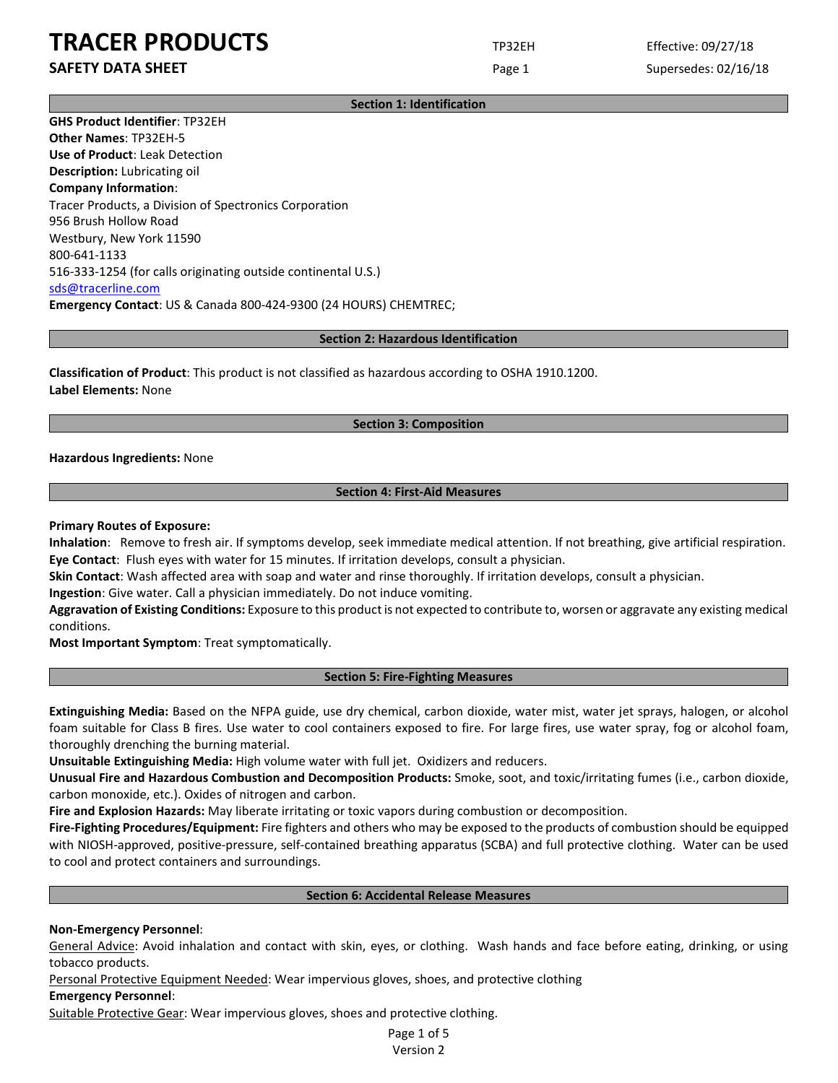# **SAFETY DATA SHEET** SUPERFOUR CONSUMING THE Page 1 Supersedes: 02/16/18

**Section 1: Identification**

**GHS Product Identifier**: TP32EH **Other Names**: TP32EH-5 **Use of Product**: Leak Detection **Description:** Lubricating oil **Company Information**: Tracer Products, a Division of Spectronics Corporation 956 Brush Hollow Road Westbury, New York 11590 800-641-1133 516-333-1254 (for calls originating outside continental U.S.) [sds@tracerline.com](mailto:sds@tracerline.com) **Emergency Contact**: US & Canada 800-424-9300 (24 HOURS) CHEMTREC;

### **Section 2: Hazardous Identification**

**Classification of Product**: This product is not classified as hazardous according to OSHA 1910.1200. **Label Elements:** None

### **Section 3: Composition**

**Hazardous Ingredients:** None

## **Section 4: First-Aid Measures**

### **Primary Routes of Exposure:**

**Inhalation**: Remove to fresh air. If symptoms develop, seek immediate medical attention. If not breathing, give artificial respiration. **Eye Contact**: Flush eyes with water for 15 minutes. If irritation develops, consult a physician.

**Skin Contact**: Wash affected area with soap and water and rinse thoroughly. If irritation develops, consult a physician.

**Ingestion**: Give water. Call a physician immediately. Do not induce vomiting.

**Aggravation of Existing Conditions:** Exposure to this product is not expected to contribute to, worsen or aggravate any existing medical conditions.

**Most Important Symptom**: Treat symptomatically.

### **Section 5: Fire-Fighting Measures**

**Extinguishing Media:** Based on the NFPA guide, use dry chemical, carbon dioxide, water mist, water jet sprays, halogen, or alcohol foam suitable for Class B fires. Use water to cool containers exposed to fire. For large fires, use water spray, fog or alcohol foam, thoroughly drenching the burning material.

**Unsuitable Extinguishing Media:** High volume water with full jet. Oxidizers and reducers.

**Unusual Fire and Hazardous Combustion and Decomposition Products:** Smoke, soot, and toxic/irritating fumes (i.e., carbon dioxide, carbon monoxide, etc.). Oxides of nitrogen and carbon.

**Fire and Explosion Hazards:** May liberate irritating or toxic vapors during combustion or decomposition.

**Fire-Fighting Procedures/Equipment:** Fire fighters and others who may be exposed to the products of combustion should be equipped with NIOSH-approved, positive-pressure, self-contained breathing apparatus (SCBA) and full protective clothing. Water can be used to cool and protect containers and surroundings.

### **Section 6: Accidental Release Measures**

### **Non-Emergency Personnel**:

General Advice: Avoid inhalation and contact with skin, eyes, or clothing. Wash hands and face before eating, drinking, or using tobacco products.

Personal Protective Equipment Needed: Wear impervious gloves, shoes, and protective clothing

### **Emergency Personnel**:

Suitable Protective Gear: Wear impervious gloves, shoes and protective clothing.

Page 1 of 5 Version 2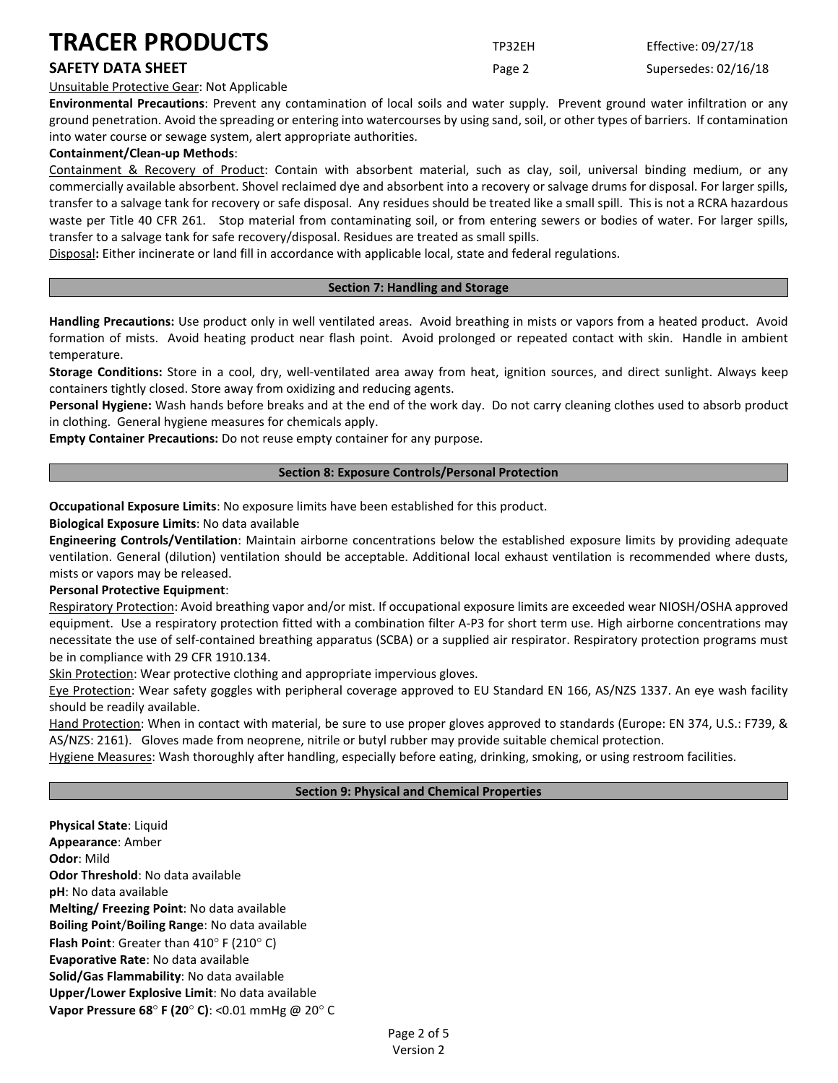# **SAFETY DATA SHEET** SUPERFOUR CONSUMING THE Page 2 Supersedes: 02/16/18

Unsuitable Protective Gear: Not Applicable

**Environmental Precautions**: Prevent any contamination of local soils and water supply. Prevent ground water infiltration or any ground penetration. Avoid the spreading or entering into watercourses by using sand, soil, or other types of barriers. If contamination into water course or sewage system, alert appropriate authorities.

# **Containment/Clean-up Methods**:

Containment & Recovery of Product: Contain with absorbent material, such as clay, soil, universal binding medium, or any commercially available absorbent. Shovel reclaimed dye and absorbent into a recovery or salvage drums for disposal. For larger spills, transfer to a salvage tank for recovery or safe disposal. Any residues should be treated like a small spill. This is not a RCRA hazardous waste per Title 40 CFR 261. Stop material from contaminating soil, or from entering sewers or bodies of water. For larger spills, transfer to a salvage tank for safe recovery/disposal. Residues are treated as small spills.

Disposal**:** Either incinerate or land fill in accordance with applicable local, state and federal regulations.

## **Section 7: Handling and Storage**

**Handling Precautions:** Use product only in well ventilated areas. Avoid breathing in mists or vapors from a heated product. Avoid formation of mists. Avoid heating product near flash point. Avoid prolonged or repeated contact with skin. Handle in ambient temperature.

**Storage Conditions:** Store in a cool, dry, well-ventilated area away from heat, ignition sources, and direct sunlight. Always keep containers tightly closed. Store away from oxidizing and reducing agents.

**Personal Hygiene:** Wash hands before breaks and at the end of the work day. Do not carry cleaning clothes used to absorb product in clothing. General hygiene measures for chemicals apply.

**Empty Container Precautions:** Do not reuse empty container for any purpose.

## **Section 8: Exposure Controls/Personal Protection**

**Occupational Exposure Limits**: No exposure limits have been established for this product.

**Biological Exposure Limits**: No data available

**Engineering Controls/Ventilation**: Maintain airborne concentrations below the established exposure limits by providing adequate ventilation. General (dilution) ventilation should be acceptable. Additional local exhaust ventilation is recommended where dusts, mists or vapors may be released.

# **Personal Protective Equipment**:

Respiratory Protection: Avoid breathing vapor and/or mist. If occupational exposure limits are exceeded wear NIOSH/OSHA approved equipment. Use a respiratory protection fitted with a combination filter A-P3 for short term use. High airborne concentrations may necessitate the use of self-contained breathing apparatus (SCBA) or a supplied air respirator. Respiratory protection programs must be in compliance with 29 CFR 1910.134.

Skin Protection: Wear protective clothing and appropriate impervious gloves.

Eye Protection: Wear safety goggles with peripheral coverage approved to EU Standard EN 166, AS/NZS 1337. An eye wash facility should be readily available.

Hand Protection: When in contact with material, be sure to use proper gloves approved to standards (Europe: EN 374, U.S.: F739, & AS/NZS: 2161). Gloves made from neoprene, nitrile or butyl rubber may provide suitable chemical protection.

Hygiene Measures: Wash thoroughly after handling, especially before eating, drinking, smoking, or using restroom facilities.

### **Section 9: Physical and Chemical Properties**

**Physical State**: Liquid **Appearance**: Amber **Odor**: Mild **Odor Threshold**: No data available **pH**: No data available **Melting/ Freezing Point**: No data available **Boiling Point**/**Boiling Range**: No data available **Flash Point**: Greater than 410° F (210° C) **Evaporative Rate**: No data available **Solid/Gas Flammability**: No data available **Upper/Lower Explosive Limit**: No data available **Vapor Pressure 68**° **F (20**° **C)**: <0.01 mmHg @ 20° C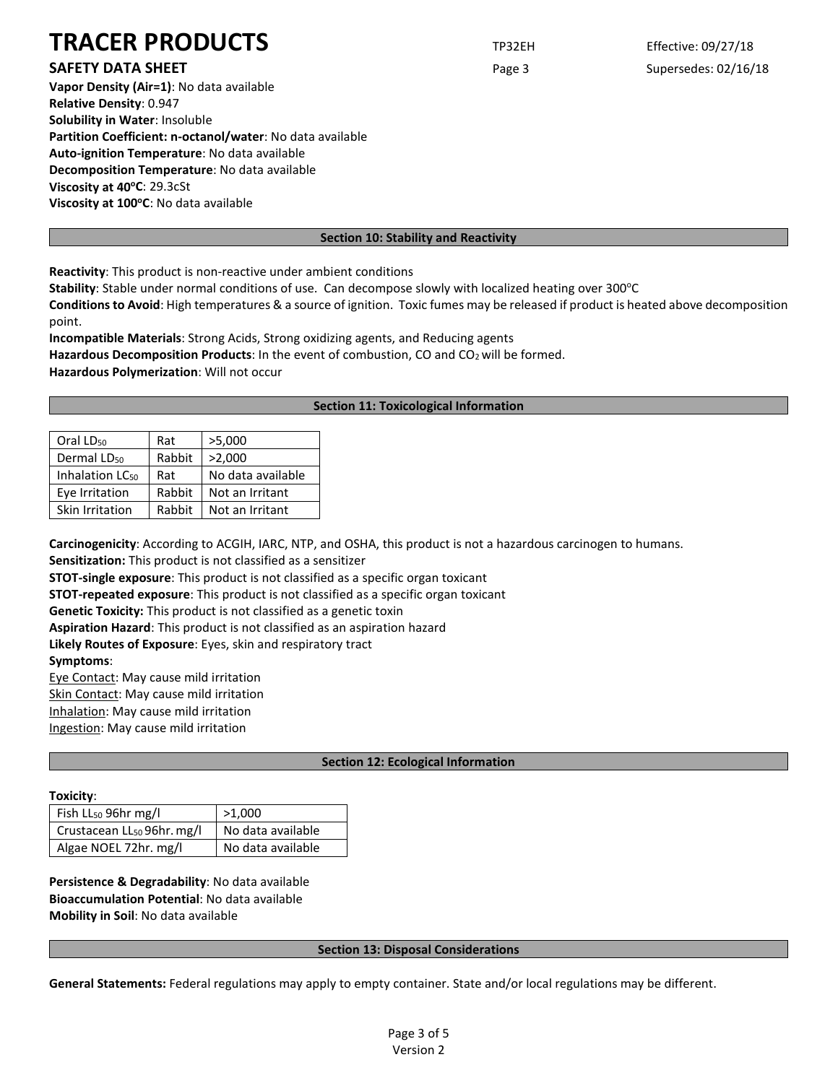# **SAFETY DATA SHEET SHEET Page 3** Supersedes: 02/16/18

**Vapor Density (Air=1)**: No data available **Relative Density**: 0.947 **Solubility in Water**: Insoluble **Partition Coefficient: n-octanol/water**: No data available **Auto-ignition Temperature**: No data available **Decomposition Temperature**: No data available **Viscosity at 40°C: 29.3cSt** Viscosity at 100°C: No data available

# **Section 10: Stability and Reactivity**

**Reactivity**: This product is non-reactive under ambient conditions

Stability: Stable under normal conditions of use. Can decompose slowly with localized heating over 300°C

**Conditions to Avoid**: High temperatures & a source of ignition. Toxic fumes may be released if product is heated above decomposition point.

**Incompatible Materials**: Strong Acids, Strong oxidizing agents, and Reducing agents Hazardous Decomposition Products: In the event of combustion, CO and CO<sub>2</sub> will be formed.

**Hazardous Polymerization**: Will not occur

## **Section 11: Toxicological Information**

| Oral LD <sub>50</sub>       | Rat    | >5,000            |
|-----------------------------|--------|-------------------|
| Dermal LD <sub>50</sub>     | Rabbit | >2,000            |
| Inhalation LC <sub>50</sub> | Rat    | No data available |
| Eye Irritation              | Rabbit | Not an Irritant   |
| Skin Irritation             | Rabbit | Not an Irritant   |

**Carcinogenicity**: According to ACGIH, IARC, NTP, and OSHA, this product is not a hazardous carcinogen to humans.

**Sensitization:** This product is not classified as a sensitizer

**STOT-single exposure**: This product is not classified as a specific organ toxicant

**STOT-repeated exposure**: This product is not classified as a specific organ toxicant

**Genetic Toxicity:** This product is not classified as a genetic toxin

**Aspiration Hazard**: This product is not classified as an aspiration hazard

**Likely Routes of Exposure**: Eyes, skin and respiratory tract

**Symptoms**:

Eye Contact: May cause mild irritation

Skin Contact: May cause mild irritation

Inhalation: May cause mild irritation

Ingestion: May cause mild irritation

# **Section 12: Ecological Information**

# **Toxicity**:

| .                                      |                   |  |
|----------------------------------------|-------------------|--|
| Fish LL <sub>50</sub> 96hr mg/l        | >1,000            |  |
| Crustacean LL <sub>50</sub> 96hr. mg/l | No data available |  |
| Algae NOEL 72hr. mg/l                  | No data available |  |

**Persistence & Degradability**: No data available **Bioaccumulation Potential**: No data available **Mobility in Soil**: No data available

### **Section 13: Disposal Considerations**

**General Statements:** Federal regulations may apply to empty container. State and/or local regulations may be different.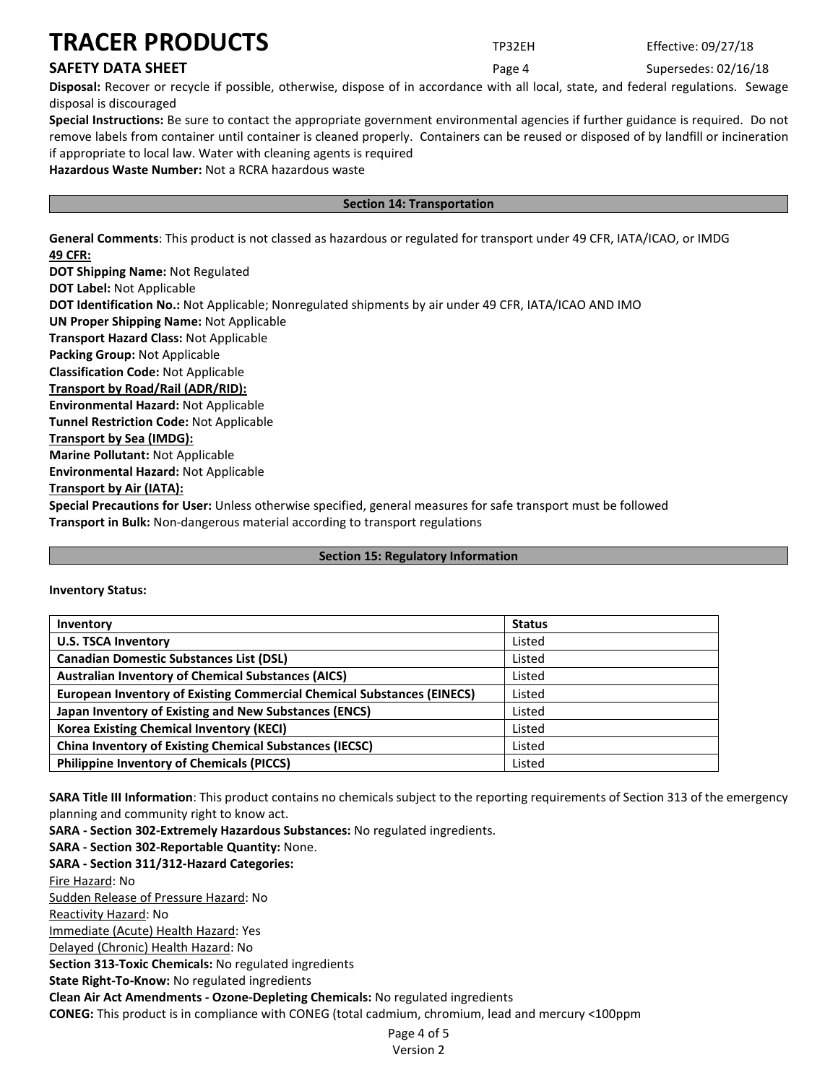# **SAFETY DATA SHEET** SUPERFOUR SAFET ASSEMBLY 2000 For the Page 4 Supersedes: 02/16/18

**Disposal:** Recover or recycle if possible, otherwise, dispose of in accordance with all local, state, and federal regulations. Sewage disposal is discouraged

**Special Instructions:** Be sure to contact the appropriate government environmental agencies if further guidance is required. Do not remove labels from container until container is cleaned properly. Containers can be reused or disposed of by landfill or incineration if appropriate to local law. Water with cleaning agents is required

**Hazardous Waste Number:** Not a RCRA hazardous waste

# **Section 14: Transportation**

**General Comments**: This product is not classed as hazardous or regulated for transport under 49 CFR, IATA/ICAO, or IMDG **49 CFR:**

**DOT Shipping Name:** Not Regulated **DOT Label:** Not Applicable **DOT Identification No.:** Not Applicable; Nonregulated shipments by air under 49 CFR, IATA/ICAO AND IMO **UN Proper Shipping Name:** Not Applicable **Transport Hazard Class:** Not Applicable **Packing Group:** Not Applicable **Classification Code:** Not Applicable **Transport by Road/Rail (ADR/RID): Environmental Hazard:** Not Applicable **Tunnel Restriction Code:** Not Applicable **Transport by Sea (IMDG): Marine Pollutant:** Not Applicable **Environmental Hazard:** Not Applicable **Transport by Air (IATA): Special Precautions for User:** Unless otherwise specified, general measures for safe transport must be followed **Transport in Bulk:** Non-dangerous material according to transport regulations

# **Section 15: Regulatory Information**

| Inventory                                                                     | <b>Status</b> |
|-------------------------------------------------------------------------------|---------------|
| <b>U.S. TSCA Inventory</b>                                                    | Listed        |
| <b>Canadian Domestic Substances List (DSL)</b>                                | Listed        |
| <b>Australian Inventory of Chemical Substances (AICS)</b>                     | Listed        |
| <b>European Inventory of Existing Commercial Chemical Substances (EINECS)</b> | Listed        |
| Japan Inventory of Existing and New Substances (ENCS)                         | Listed        |
| <b>Korea Existing Chemical Inventory (KECI)</b>                               | Listed        |
| <b>China Inventory of Existing Chemical Substances (IECSC)</b>                | Listed        |
| <b>Philippine Inventory of Chemicals (PICCS)</b>                              | Listed        |

**SARA Title III Information**: This product contains no chemicals subject to the reporting requirements of Section 313 of the emergency planning and community right to know act.

**SARA - Section 302-Extremely Hazardous Substances:** No regulated ingredients.

**SARA - Section 302-Reportable Quantity:** None.

**SARA - Section 311/312-Hazard Categories:**

Fire Hazard: No

Sudden Release of Pressure Hazard: No

Reactivity Hazard: No

Immediate (Acute) Health Hazard: Yes

Delayed (Chronic) Health Hazard: No

**Section 313-Toxic Chemicals:** No regulated ingredients

**State Right-To-Know:** No regulated ingredients

**Clean Air Act Amendments - Ozone-Depleting Chemicals:** No regulated ingredients

**CONEG:** This product is in compliance with CONEG (total cadmium, chromium, lead and mercury <100ppm

Page 4 of 5 Version 2

**Inventory Status:**